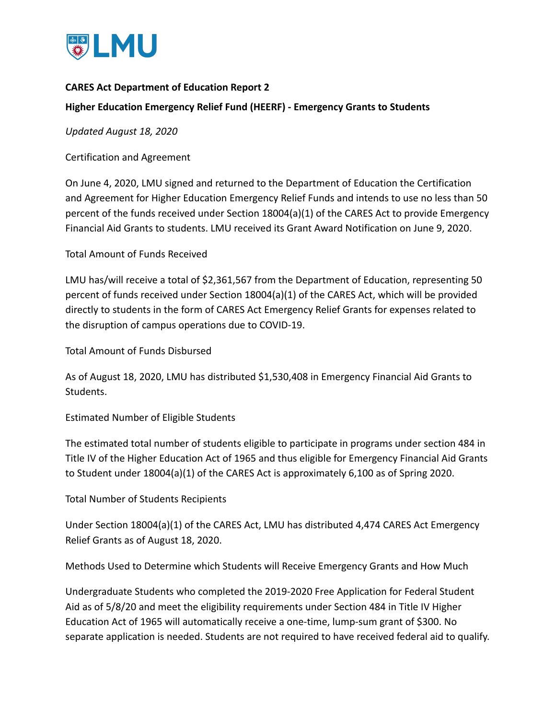

## **CARES Act Department of Education Report 2**

## **Higher Education Emergency Relief Fund (HEERF) - Emergency Grants to Students**

*Updated August 18, 2020*

Certification and Agreement

On June 4, 2020, LMU signed and returned to the Department of Education the Certification and Agreement for Higher Education Emergency Relief Funds and intends to use no less than 50 percent of the funds received under Section 18004(a)(1) of the CARES Act to provide Emergency Financial Aid Grants to students. LMU received its Grant Award Notification on June 9, 2020.

Total Amount of Funds Received

LMU has/will receive a total of \$2,361,567 from the Department of Education, representing 50 percent of funds received under Section 18004(a)(1) of the CARES Act, which will be provided directly to students in the form of CARES Act Emergency Relief Grants for expenses related to the disruption of campus operations due to COVID-19.

Total Amount of Funds Disbursed

As of August 18, 2020, LMU has distributed \$1,530,408 in Emergency Financial Aid Grants to Students.

Estimated Number of Eligible Students

The estimated total number of students eligible to participate in programs under section 484 in Title IV of the Higher Education Act of 1965 and thus eligible for Emergency Financial Aid Grants to Student under 18004(a)(1) of the CARES Act is approximately 6,100 as of Spring 2020.

Total Number of Students Recipients

Under Section 18004(a)(1) of the CARES Act, LMU has distributed 4,474 CARES Act Emergency Relief Grants as of August 18, 2020.

Methods Used to Determine which Students will Receive Emergency Grants and How Much

Undergraduate Students who completed the 2019-2020 Free Application for Federal Student Aid as of 5/8/20 and meet the eligibility requirements under Section 484 in Title IV Higher Education Act of 1965 will automatically receive a one-time, lump-sum grant of \$300. No separate application is needed. Students are not required to have received federal aid to qualify.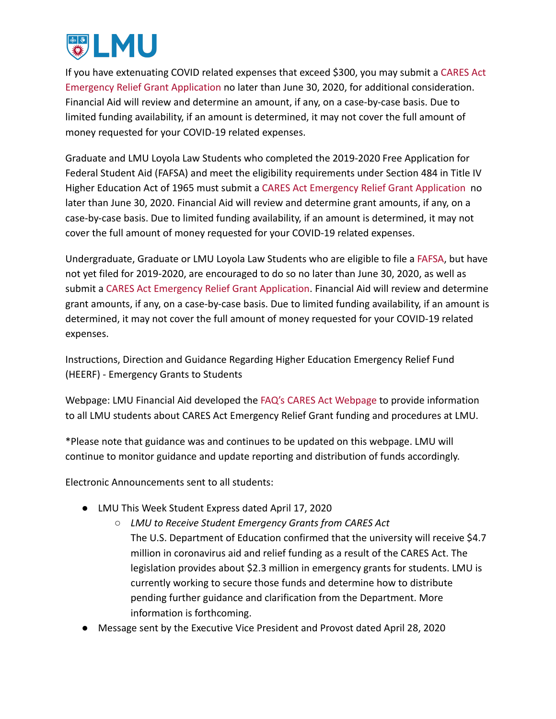

If you have extenuating COVID related expenses that exceed \$300, you may submit a [CARES Act](https://financialaid.lmu.edu/media/lmufinaid/contentassets/documents/2020-2021/CARES%20Act%20Emergency%20Relief%20Application.pdf) [Emergency Relief Grant Application](https://financialaid.lmu.edu/media/lmufinaid/contentassets/documents/2020-2021/CARES%20Act%20Emergency%20Relief%20Application.pdf) no later than June 30, 2020, for additional consideration. Financial Aid will review and determine an amount, if any, on a case-by-case basis. Due to limited funding availability, if an amount is determined, it may not cover the full amount of money requested for your COVID-19 related expenses.

Graduate and LMU Loyola Law Students who completed the 2019-2020 Free Application for Federal Student Aid (FAFSA) and meet the eligibility requirements under Section 484 in Title IV Higher Education Act of 1965 must submit a CARES Act [Emergency Relief Grant Application](https://financialaid.lmu.edu/media/lmufinaid/contentassets/documents/2020-2021/CARES%20Act%20Emergency%20Relief%20Application.pdf) no later than June 30, 2020. Financial Aid will review and determine grant amounts, if any, on a case-by-case basis. Due to limited funding availability, if an amount is determined, it may not cover the full amount of money requested for your COVID-19 related expenses.

Undergraduate, Graduate or LMU Loyola Law Students who are eligible to file a [FAFSA](https://studentaid.gov/h/apply-for-aid/fafsa), but have not yet filed for 2019-2020, are encouraged to do so no later than June 30, 2020, as well as submit a [CARES Act Emergency Relief Grant Application](https://financialaid.lmu.edu/media/lmufinaid/contentassets/documents/2020-2021/CARES%20Act%20Emergency%20Relief%20Application.pdf). Financial Aid will review and determine grant amounts, if any, on a case-by-case basis. Due to limited funding availability, if an amount is determined, it may not cover the full amount of money requested for your COVID-19 related expenses.

Instructions, Direction and Guidance Regarding Higher Education Emergency Relief Fund (HEERF) - Emergency Grants to Students

Webpage: LMU Financial Aid developed the FAQ's CARES [Act Webpage](https://financialaid.lmu.edu/current/caresactemergencyreliefgrant/) to provide information to all LMU students about CARES Act Emergency Relief Grant funding and procedures at LMU.

\*Please note that guidance was and continues to be updated on this webpage. LMU will continue to monitor guidance and update reporting and distribution of funds accordingly.

Electronic Announcements sent to all students:

- LMU This Week Student Express dated April 17, 2020
	- *LMU to Receive Student Emergency Grants from CARES Act* The U.S. Department of Education confirmed that the university will receive \$4.7 million in coronavirus aid and relief funding as a result of the CARES Act. The legislation provides about \$2.3 million in emergency grants for students. LMU is currently working to secure those funds and determine how to distribute pending further guidance and clarification from the Department. More information is forthcoming.
- Message sent by the Executive Vice President and Provost dated April 28, 2020